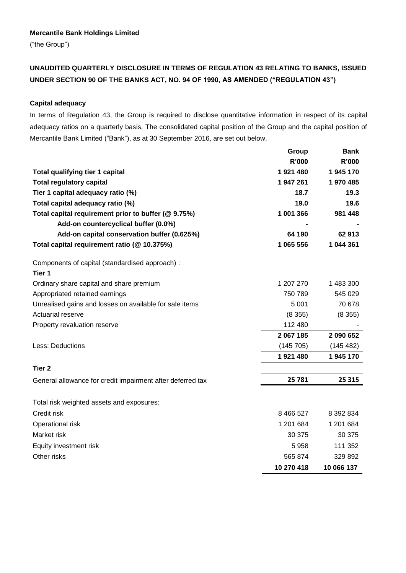#### **Mercantile Bank Holdings Limited**

("the Group")

# **UNAUDITED QUARTERLY DISCLOSURE IN TERMS OF REGULATION 43 RELATING TO BANKS, ISSUED UNDER SECTION 90 OF THE BANKS ACT, NO. 94 OF 1990, AS AMENDED ("REGULATION 43")**

#### **Capital adequacy**

In terms of Regulation 43, the Group is required to disclose quantitative information in respect of its capital adequacy ratios on a quarterly basis. The consolidated capital position of the Group and the capital position of Mercantile Bank Limited ("Bank"), as at 30 September 2016, are set out below.

|                                                            | Group        | <b>Bank</b>  |
|------------------------------------------------------------|--------------|--------------|
|                                                            | <b>R'000</b> | <b>R'000</b> |
| <b>Total qualifying tier 1 capital</b>                     | 1921480      | 1945 170     |
| <b>Total regulatory capital</b>                            | 1947261      | 1 970 485    |
| Tier 1 capital adequacy ratio (%)                          | 18.7         | 19.3         |
| Total capital adequacy ratio (%)                           | 19.0         | 19.6         |
| Total capital requirement prior to buffer (@ 9.75%)        | 1 001 366    | 981 448      |
| Add-on countercyclical buffer (0.0%)                       |              |              |
| Add-on capital conservation buffer (0.625%)                | 64 190       | 62913        |
| Total capital requirement ratio (@ 10.375%)                | 1 065 556    | 1 044 361    |
| Components of capital (standardised approach) :            |              |              |
| Tier 1                                                     |              |              |
| Ordinary share capital and share premium                   | 1 207 270    | 1 483 300    |
| Appropriated retained earnings                             | 750 789      | 545 029      |
| Unrealised gains and losses on available for sale items    | 5 0 0 1      | 70 678       |
| <b>Actuarial reserve</b>                                   | (8355)       | (8355)       |
| Property revaluation reserve                               | 112 480      |              |
|                                                            | 2 067 185    | 2 090 652    |
| Less: Deductions                                           | (145705)     | (145 482)    |
|                                                            | 1921480      | 1945 170     |
| Tier 2                                                     |              |              |
| General allowance for credit impairment after deferred tax | 25 781       | 25 315       |
| Total risk weighted assets and exposures:                  |              |              |
| Credit risk                                                | 8 4 6 5 2 7  | 8 392 834    |
| Operational risk                                           | 1 201 684    | 1 201 684    |
| Market risk                                                | 30 375       | 30 375       |
| Equity investment risk                                     | 5958         | 111 352      |
| Other risks                                                | 565 874      | 329 892      |
|                                                            | 10 270 418   | 10 066 137   |